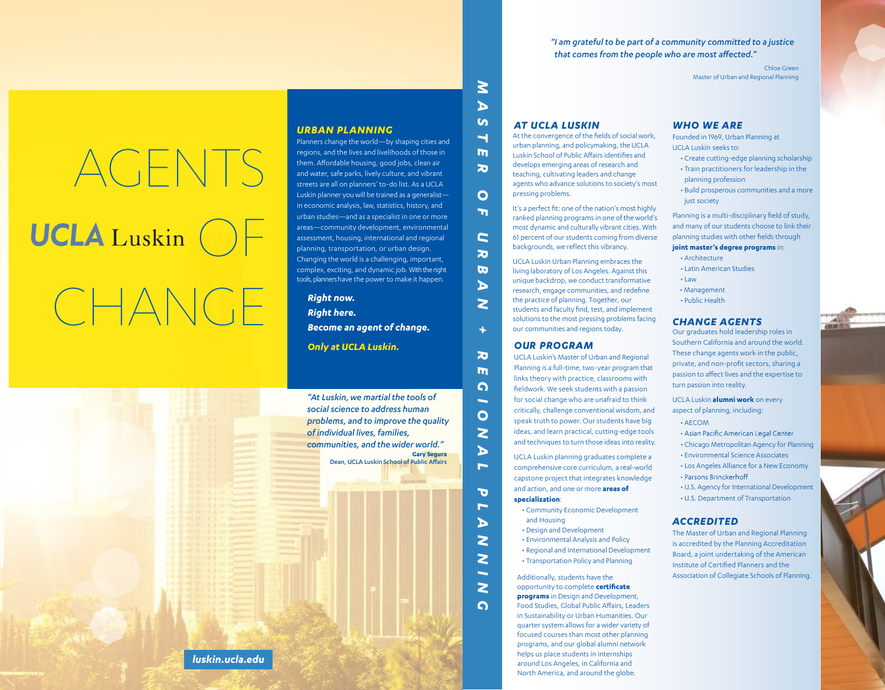*" I am grateful to be part of a community committed to a justice that comes from the people who are most affected."*

> Chloe Green Master of Urban and Regional Planning

#### *AT UCLA LUSKIN*  $\mathcal G$

*M*

 *A*

 *T E*

 $\overline{\mathbf{z}}$ 

*R OF U*

O 'n

 *R B* $\lambda$ 

 $\mathbf{C}$ 

 *N*

*+*

*R* $\overline{\mathbf{r}}$ *G I O*

 *N<i>A L*

**Gary Segura**

Dean, UCLA Luskin School of Public Affairs

*P* $\overline{\phantom{a}}$ *Д* 

 *N*

 *N I NG* At the convergence of the fields of social work, urban planning, and policymaking, the UCLA Luskin School of Public Affairs identifies and develops emerging areas of research and teaching, cultivating leaders and change agents who advance solutions to society's most pressing problems.

It's a perfect fit: one of the nation's most highly ranked planning programs in one of the world's most dynamic and culturally vibrant cities. With 61 percent of our students coming from diverse backgrounds, we reflect this vibrancy.

UCLA Luskin Urban Planning embraces the living laboratory of Los Angeles. Against this unique backdrop, we conduct transformative research, engage communities, and redefine the practice of planning. Together, our students and faculty find, test, and implement solutions to the most pressing problems facing our communities and regions today.

#### *OUR PROGRAM*

UCLA Luskin's Master of Urban and Regional Planning is a full-time, two-year program that links theory with practice, classrooms with fieldwork. We seek students with a passion for social change who are unafraid to think critically, challenge conventional wisdom, and speak truth to power. Our students have big ideas, and learn practical, cutting-edge tools and techniques to turn those ideas into reality.

UCLA Luskin planning graduates complete a comprehensive core curriculum, a real-world capstone project that integrates knowledge and action, and one or more **areas of specialization**:

- Community Economic Development and Housing
- Design and Development
- Environmental Analysis and Policy
- Regional and International Development
- Transportation Policy and Planning

Additionally, students have the opportunity to complete **certificate programs** in Design and Development. Food Studies, Global Public Affairs, Leaders in Sustainability or Urban Humanities. Our quarter system allows for a wider variety of focused courses than most other planning programs, and our global alumni network helps us place students in internships around Los Angeles, in California and North America, and around the globe.

#### *WHO WE ARE*

Founded in 1969, Urban Planning at UCLA Luskin seeks to:

- Create cutting-edge planning scholarship • Train practitioners for leadership in the
- planning profession
- Build prosperous communities and a more just society

Planning is a multi-disciplinary field of study, and many of our students choose to link their planning studies with other fields through

**joint master's degree programs** in:

- Architecture
- Latin American Studies
- Law
- Management
- Public Health

#### *CHANGE AGENTS*

Our graduates hold leadership roles in Southern California and around the world. These change agents work in the public, private, and non-profit sectors, sharing a passion to affect lives and the expertise to turn passion into reality.

UCLA Luskin **alumni work** on every aspect of planning, including:

- AECOM
- Asian Pacific American Legal Center
- Chicago Metropolitan Agency for Planning • Environmental Science Associates
- Los Angeles Alliance for a New Economy • Parsons Brinckerhoff
- U.S. Agency for International Development
- U.S. Department of Transportation

#### *ACCREDITED*

The Master of Urban and Regional Planning is accredited by the Planning Accreditation Board, a joint undertaking of the American Institute of Certified Planners and the Association of Collegiate Schools of Planning.



*URBAN PLANNING*

Planners change the world—by shaping cities and regions, and the lives and livelihoods of those in them. Affordable housing, good jobs, clean air and water, safe parks, lively culture, and vibrant

*Become an agent of change.*

*"At Luskin, we martial the tools of social science to address human problems, and to improve the quality* 

*communities, and the wider world."*

*of individual lives, families,* 

*Only at UCLA Luskin.*

*Right here.*

CHANGE